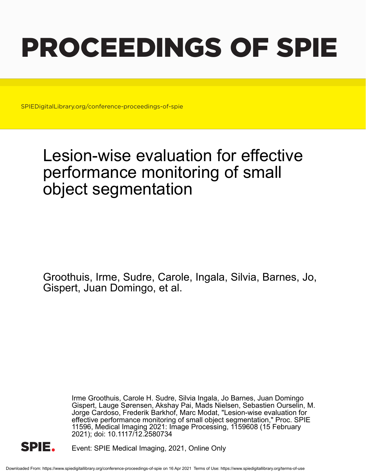# PROCEEDINGS OF SPIE

SPIEDigitalLibrary.org/conference-proceedings-of-spie

## Lesion-wise evaluation for effective performance monitoring of small object segmentation

Groothuis, Irme, Sudre, Carole, Ingala, Silvia, Barnes, Jo, Gispert, Juan Domingo, et al.

> Irme Groothuis, Carole H. Sudre, Silvia Ingala, Jo Barnes, Juan Domingo Gispert, Lauge Sørensen, Akshay Pai, Mads Nielsen, Sebastien Ourselin, M. Jorge Cardoso, Frederik Barkhof, Marc Modat, "Lesion-wise evaluation for effective performance monitoring of small object segmentation," Proc. SPIE 11596, Medical Imaging 2021: Image Processing, 1159608 (15 February 2021); doi: 10.1117/12.2580734



Event: SPIE Medical Imaging, 2021, Online Only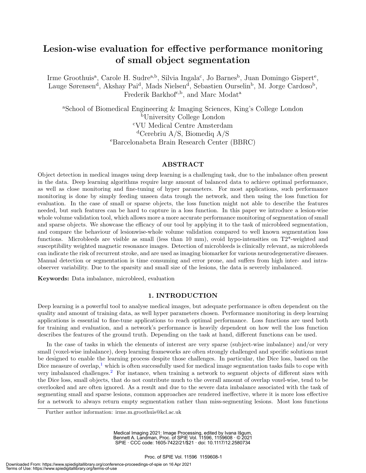### Lesion-wise evaluation for effective performance monitoring of small object segmentation

Irme Groothuis<sup>a</sup>, Carole H. Sudre<sup>a,b</sup>, Silvia Ingala<sup>c</sup>, Jo Barnes<sup>b</sup>, Juan Domingo Gispert<sup>e</sup>, Lauge Sørensen<sup>d</sup>, Akshay Pai<sup>d</sup>, Mads Nielsen<sup>d</sup>, Sebastien Ourselin<sup>b</sup>, M. Jorge Cardoso<sup>b</sup>, Frederik Barkhof<sup>c,b</sup>, and Marc Modat<sup>a</sup>

<sup>a</sup>School of Biomedical Engineering & Imaging Sciences, King's College London <sup>b</sup>University College London <sup>c</sup>VU Medical Centre Amsterdam <sup>d</sup>Cerebriu A/S, Biomediq A/S <sup>e</sup>Barcelonabeta Brain Research Center (BBRC)

#### ABSTRACT

Object detection in medical images using deep learning is a challenging task, due to the imbalance often present in the data. Deep learning algorithms require large amount of balanced data to achieve optimal performance, as well as close monitoring and fine-tuning of hyper parameters. For most applications, such performance monitoring is done by simply feeding unseen data trough the network, and then using the loss function for evaluation. In the case of small or sparse objects, the loss function might not able to describe the features needed, but such features can be hard to capture in a loss function. In this paper we introduce a lesion-wise whole volume validation tool, which allows more a more accurate performance monitoring of segmentation of small and sparse objects. We showcase the efficacy of our tool by applying it to the task of microbleed segmentation, and compare the behaviour of lesionwise-whole volume validation compared to well known segmentation loss functions. Microbleeds are visible as small (less than 10 mm), ovoid hypo-intensities on T2\*-weighted and susceptibility weighted magnetic resonance images. Detection of microbleeds is clinically relevant, as microbleeds can indicate the risk of recurrent stroke, and are used as imaging biomarker for various neurodegenerative diseases. Manual detection or segmentation is time consuming and error prone, and suffers from high inter- and intraobserver variability. Due to the sparsity and small size of the lesions, the data is severely imbalanced.

Keywords: Data imbalance, microbleed, evaluation

#### 1. INTRODUCTION

Deep learning is a powerful tool to analyse medical images, but adequate performance is often dependent on the quality and amount of training data, as well hyper parameters chosen. Performance monitoring in deep learning applications is essential to fine-tune applications to reach optimal performance. Loss functions are used both for training and evaluation, and a network's performance is heavily dependent on how well the loss function describes the features of the ground truth. Depending on the task at hand, different functions can be used.

In the case of tasks in which the elements of interest are very sparse (subject-wise imbalance) and/or very small (voxel-wise imbalance), deep learning frameworks are often strongly challenged and specific solutions must be designed to enable the learning process despite those challenges. In particular, the Dice loss, based on the Dice measure of overlap, $\frac{1}{k}$  which is often successfully used for medical image segmentation tasks fails to cope with very imbalanced challenges.<sup>2</sup> For instance, when training a network to segment objects of different sizes with the Dice loss, small objects, that do not contribute much to the overall amount of overlap voxel-wise, tend to be overlooked and are often ignored. As a result and due to the severe data imbalance associated with the task of segmenting small and sparse lesions, common approaches are rendered ineffective, where it is more loss effective for a network to always return empty segmentation rather than miss-segmenting lesions. Most loss functions

Medical Imaging 2021: Image Processing, edited by Ivana Išgum, Bennett A. Landman, Proc. of SPIE Vol. 11596, 1159608 · © 2021 SPIE · CCC code: 1605-7422/21/\$21 · doi: 10.1117/12.2580734

Further author information: irme.m.groothuis@kcl.ac.uk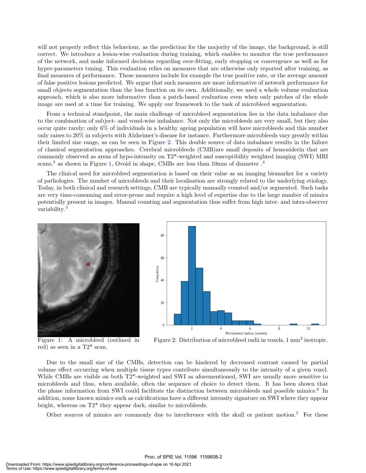will not properly reflect this behaviour, as the prediction for the majority of the image, the background, is still correct. We introduce a lesion-wise evaluation during training, which enables to monitor the true performance of the network, and make informed decisions regarding over-fitting, early stopping or convergence as well as for hyper-parameters tuning. This evaluation relies on measures that are otherwise only reported after training, as final measures of performance. These measures include for example the true positive rate, or the average amount of false positive lesions predicted. We argue that such measures are more informative of network performance for small objects segmentation than the loss function on its own. Additionally, we used a whole volume evaluation approach, which is also more informative than a patch-based evaluation even when only patches of the whole image are used at a time for training. We apply our framework to the task of microbleed segmentation.

From a technical standpoint, the main challenge of microbleed segmentation lies in the data imbalance due to the combination of subject- and voxel-wise imbalance. Not only the microbleeds are very small, but they also occur quite rarely; only 6% of individuals in a healthy ageing population will have microbleeds and this number only raises to 20% in subjects with Alzheimer's disease for instance. Furthermore microbleeds vary greatly within their limited size range, as can be seen in Figure 2. This double source of data imbalance results in the failure of classical segmentation approaches. Cerebral microbleeds (CMB)are small deposits of hemosiderin that are commonly observed as areas of hypo-intensity on T2\*-weighted and susceptibility weighted imaging (SWI) MRI scans,<sup>3</sup> as shown in Figure 1, Ovoid in shape, CMBs are less than 10mm of diameter  $.4$ 

The clinical need for microbleed segmentation is based on their value as an imaging biomarker for a variety of pathologies. The number of microbleeds and their localisation are strongly related to the underlying etiology. Today, in both clinical and research settings, CMB are typically manually counted and/or segmented. Such tasks are very time-consuming and error-prone and require a high level of expertise due to the large number of mimics potentially present in images. Manual counting and segmentation thus suffer from high inter- and intra-observer variability.<sup>5</sup>



Figure 1: A microbleed (outlined in red) as seen in a T2\* scan.



Figure 2: Distribution of microbleed radii in voxels, 1 mm<sup>3</sup> isotropic.

Due to the small size of the CMBs, detection can be hindered by decreased contrast caused by partial volume effect occurring when multiple tissue types contribute simultaneously to the intensity of a given voxel. While CMBs are visible on both T2\*-weighted and SWI as aforementioned, SWI are usually more sensitive to microbleeds and thus, when available, often the sequence of choice to detect them. It has been shown that the phase information from SWI could facilitate the distinction between microbleeds and possible mimics.<sup>6</sup> In addition, some known mimics such as calcifications have a different intensity signature on SWI where they appear bright, whereas on T2\* they appear dark, similar to microbleeds.

Other sources of mimics are commonly due to interference with the skull or patient motion.<sup>7</sup> For these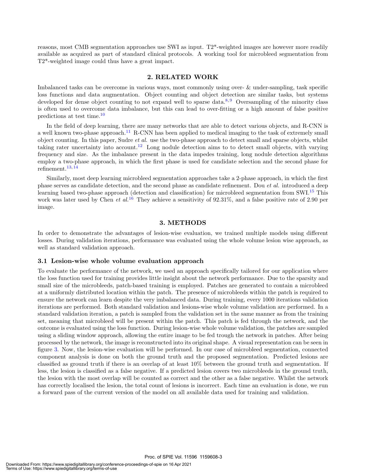reasons, most CMB segmentation approaches use SWI as input. T2\*-weighted images are however more readily available as acquired as part of standard clinical protocols. A working tool for microbleed segmentation from T2\*-weighted image could thus have a great impact.

#### 2. RELATED WORK

Imbalanced tasks can be overcome in various ways, most commonly using over- & under-sampling, task specific loss functions and data augmentation. Object counting and object detection are similar tasks, but systems developed for dense object counting to not expand well to sparse data.<sup>8,9</sup> Oversampling of the minority class is often used to overcome data imbalance, but this can lead to over-fitting or a high amount of false positive predictions at test time.<sup>10</sup>

In the field of deep learning, there are many networks that are able to detect various objects, and R-CNN is a well known two-phase approach.<sup>11</sup> R-CNN has been applied to medical imaging to the task of extremely small object counting. In this paper, Sudre *et al.* use the two-phase approach to detect small and sparse objects, whilst taking rater uncertainty into account.<sup>12</sup> Long nodule detection aims to to detect small objects, with varying frequency and size. As the imbalance present in the data impedes training, long nodule detection algorithms employ a two-phase approach, in which the first phase is used for candidate selection and the second phase for refinement.<sup>13, 14</sup>

Similarly, most deep learning microbleed segmentation approaches take a 2-phase approach, in which the first phase serves as candidate detection, and the second phase as candidate refinement. Dou et al. introduced a deep learning based two-phase approach (detection and classification) for microbleed segmentation from SWI.<sup>15</sup> This work was later used by Chen *et al.*<sup>16</sup> They achieve a sensitivity of  $92.31\%$ , and a false positive rate of 2.90 per image.

#### 3. METHODS

In order to demonstrate the advantages of lesion-wise evaluation, we trained multiple models using different losses. During validation iterations, performance was evaluated using the whole volume lesion wise approach, as well as standard validation approach.

#### 3.1 Lesion-wise whole volume evaluation approach

To evaluate the performance of the network, we used an approach specifically tailored for our application where the loss function used for training provides little insight about the network performance. Due to the sparsity and small size of the microbleeds, patch-based training is employed. Patches are generated to contain a microbleed at a uniformly distributed location within the patch. The presence of microbleeds within the patch is required to ensure the network can learn despite the very imbalanced data. During training, every 1000 iterations validation iterations are performed. Both standard validation and lesions-wise whole volume validation are performed. In a standard validation iteration, a patch is sampled from the validation set in the same manner as from the training set, meaning that microbleed will be present within the patch. This patch is fed through the network, and the outcome is evaluated using the loss function. During lesion-wise whole volume validation, the patches are sampled using a sliding window approach, allowing the entire image to be fed trough the network in patches. After being processed by the network, the image is reconstructed into its original shape. A visual representation can be seen in figure 3. Now, the lesion-wise evaluation will be performed. In our case of microbleed segmentation, connected component analysis is done on both the ground truth and the proposed segmentation. Predicted lesions are classified as ground truth if there is an overlap of at least 10% between the ground truth and segmentation. If less, the lesion is classified as a false negative. If a predicted lesion covers two microbleeds in the ground truth, the lesion with the most overlap will be counted as correct and the other as a false negative. Whilst the network has correctly localised the lesion, the total count of lesions is incorrect. Each time an evaluation is done, we run a forward pass of the current version of the model on all available data used for training and validation.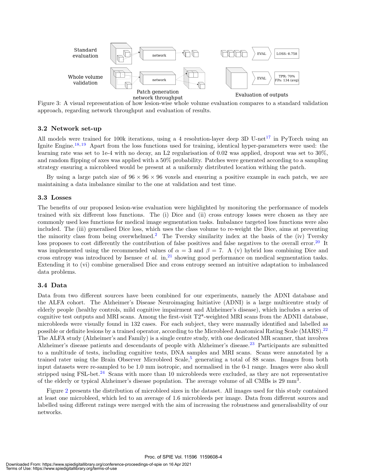

Figure 3: A visual representation of how lesion-wise whole volume evaluation compares to a standard validation approach, regarding network throughput and evaluation of results.

#### 3.2 Network set-up

All models were trained for 100k iterations, using a 4 resolution-layer deep 3D U-net<sup>17</sup> in PyTorch using an Ignite Engine.18, <sup>19</sup> Apart from the loss functions used for training, identical hyper-parameters were used: the learning rate was set to 1e-4 with no decay, an L2 regularisation of 0.02 was applied, dropout was set to 30%, and random flipping of axes was applied with a 50% probability. Patches were generated according to a sampling strategy ensuring a microbleed would be present at a uniformly distributed location withing the patch.

By using a large patch size of  $96 \times 96 \times 96$  voxels and ensuring a positive example in each patch, we are maintaining a data imbalance similar to the one at validation and test time.

#### 3.3 Losses

The benefits of our proposed lesion-wise evaluation were highlighted by monitoring the performance of models trained with six different loss functions. The (i) Dice and (ii) cross entropy losses were chosen as they are commonly used loss functions for medical image segmentation tasks. Imbalance targeted loss functions were also included. The (iii) generalised Dice loss, which uses the class volume to re-weight the Dice, aims at preventing the minority class from being overwhelmed.<sup>2</sup> The Tversky similarity index at the basis of the (iv) Tversky loss proposes to cost differently the contribution of false positives and false negatives to the overall error.<sup>20</sup> It was implemented using the recommended values of  $\alpha = 3$  and  $\beta = 7$ . A (v) hybrid loss combining Dice and cross entropy was introduced by Isensee *et al.* in,<sup>21</sup> showing good performance on medical segmentation tasks. Extending it to (vi) combine generalised Dice and cross entropy seemed an intuitive adaptation to imbalanced data problems.

#### 3.4 Data

Data from two different sources have been combined for our experiments, namely the ADNI database and the ALFA cohort. The Alzheimer's Disease Neuroimaging Initiative (ADNI) is a large multicentre study of elderly people (healthy controls, mild cognitive impairment and Alzheimer's disease), which includes a series of cognitive test outputs and MRI scans. Among the first-visit T2\*-weighted MRI scans from the ADNI1 database, microbleeds were visually found in 132 cases. For each subject, they were manually identified and labelled as possible or definite lesions by a trained operator, according to the Microbleed Anatomical Rating Scale (MARS).<sup>22</sup> The ALFA study (Alzheimer's and Family) is a single centre study, with one dedicated MR scanner, that involves Alzheimer's disease patients and descendants of people with Alzheimer's disease.<sup>23</sup> Participants are submitted to a multitude of tests, including cognitive tests, DNA samples and MRI scans. Scans were annotated by a trained rater using the Brain Observer Microbleed Scale,<sup>5</sup> generating a total of 88 scans. Images from both input datasets were re-sampled to be 1.0 mm isotropic, and normalised in the 0-1 range. Images were also skull stripped using FSL-bet.<sup>24</sup> Scans with more than 10 microbleeds were excluded, as they are not representative of the elderly or typical Alzheimer's disease population. The average volume of all CMBs is 29 mm<sup>3</sup>.

Figure 2 presents the distribution of microbleed sizes in the dataset. All images used for this study contained at least one microbleed, which led to an average of 1.6 microbleeds per image. Data from different sources and labelled using different ratings were merged with the aim of increasing the robustness and generalisability of our networks.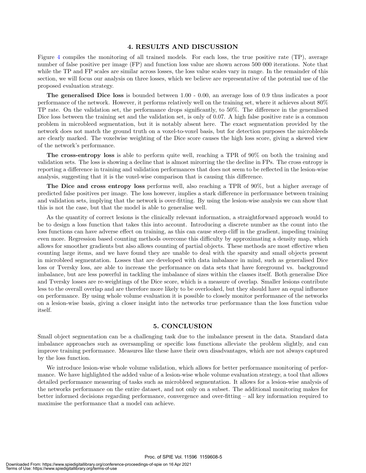#### 4. RESULTS AND DISCUSSION

Figure 4 compiles the monitoring of all trained models. For each loss, the true positive rate (TP), average number of false positive per image (FP) and function loss value are shown across 500 000 iterations. Note that while the TP and FP scales are similar across losses, the loss value scales vary in range. In the remainder of this section, we will focus our analysis on three losses, which we believe are representative of the potential use of the proposed evaluation strategy.

The generalised Dice loss is bounded between 1.00 - 0.00, an average loss of 0.9 thus indicates a poor performance of the network. However, it performs relatively well on the training set, where it achieves about 80% TP rate. On the validation set, the performance drops significantly, to 50%. The difference in the generalised Dice loss between the training set and the validation set, is only of 0.07. A high false positive rate is a common problem in microbleed segmentation, but it is notably absent here. The exact segmentation provided by the network does not match the ground truth on a voxel-to-voxel basis, but for detection purposes the microbleeds are clearly marked. The voxelwise weighting of the Dice score causes the high loss score, giving a skewed view of the network's performance.

The cross-entropy loss is able to perform quite well, reaching a TPR of 90% on both the training and validation sets. The loss is showing a decline that is almost mirorring the the decline in FPs. The cross entropy is reporting a difference in training and validation performances that does not seem to be reflected in the lesion-wise analysis, suggesting that it is the voxel-wise comparison that is causing this difference.

The Dice and cross entropy loss performs well, also reaching a TPR of 90%, but a higher average of predicted false positives per image. The loss however, implies a stark difference in performance between training and validation sets, implying that the network is over-fitting. By using the lesion-wise analysis we can show that this is not the case, but that the model is able to generalise well.

As the quantity of correct lesions is the clinically relevant information, a straightforward approach would to be to design a loss function that takes this into account. Introducing a discrete number as the count into the loss functions can have adverse effect on training, as this can cause steep cliff in the gradient, impeding training even more. Regression based counting methods overcome this difficulty by approximating a density map, which allows for smoother gradients but also allows counting of partial objects. These methods are most effective when counting large items, and we have found they are unable to deal with the sparsity and small objects present in microbleed segmentation. Losses that are developed with data imbalance in mind, such as generalised Dice loss or Tversky loss, are able to increase the performance on data sets that have foreground vs. background imbalance, but are less powerful in tackling the imbalance of sizes within the classes itself. Both generalise Dice and Tversky losses are re-weightings of the Dice score, which is a measure of overlap. Smaller lesions contribute less to the overall overlap and are therefore more likely to be overlooked, but they should have an equal influence on performance. By using whole volume evaluation it is possible to closely monitor performance of the networks on a lesion-wise basis, giving a closer insight into the networks true performance than the loss function value itself.

#### 5. CONCLUSION

Small object segmentation can be a challenging task due to the imbalance present in the data. Standard data imbalance approaches such as oversampling or specific loss functions alleviate the problem slightly, and can improve training performance. Measures like these have their own disadvantages, which are not always captured by the loss function.

We introduce lesion-wise whole volume validation, which allows for better performance monitoring of performance. We have highlighted the added value of a lesion-wise whole volume evaluation strategy, a tool that allows detailed performance measuring of tasks such as microbleed segmentation. It allows for a lesion-wise analysis of the networks performance on the entire dataset, and not only on a subset. The additional monitoring makes for better informed decisions regarding performance, convergence and over-fitting – all key information required to maximise the performance that a model can achieve.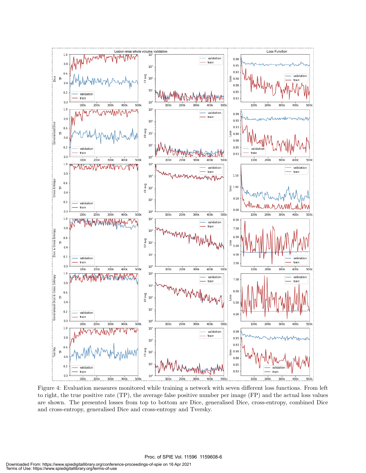

Figure 4: Evaluation measures monitored while training a network with seven different loss functions. From left to right, the true positive rate (TP), the average false positive number per image (FP) and the actual loss values are shown. The presented losses from top to bottom are Dice, generalised Dice, cross-entropy, combined Dice and cross-entropy, generalised Dice and cross-entropy and Tversky.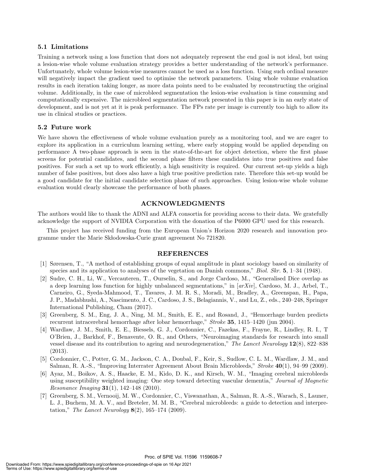#### 5.1 Limitations

Training a network using a loss function that does not adequately represent the end goal is not ideal, but using a lesion-wise whole volume evaluation strategy provides a better understanding of the network's performance. Unfortunately, whole volume lesion-wise measures cannot be used as a loss function. Using such ordinal measure will negatively impact the gradient used to optimise the network parameters. Using whole volume evaluation results in each iteration taking longer, as more data points need to be evaluated by reconstructing the original volume. Additionally, in the case of microbleed segmentation the lesion-wise evaluation is time consuming and computationally expensive. The microbleed segmentation network presented in this paper is in an early state of development, and is not yet at it is peak performance. The FPs rate per image is currently too high to allow its use in clinical studies or practices.

#### 5.2 Future work

We have shown the effectiveness of whole volume evaluation purely as a monitoring tool, and we are eager to explore its application in a curriculum learning setting, where early stopping would be applied depending on performance A two-phase approach is seen in the state-of-the-art for object detection, where the first phase screens for potential candidates, and the second phase filters these candidates into true positives and false positives. For such a set up to work efficiently, a high sensitivity is required. Our current set-up yields a high number of false positives, but does also have a high true positive prediction rate. Therefore this set-up would be a good candidate for the initial candidate selection phase of such approaches. Using lesion-wise whole volume evaluation would clearly showcase the performance of both phases.

#### ACKNOWLEDGMENTS

The authors would like to thank the ADNI and ALFA consortia for providing access to their data. We gratefully acknowledge the support of NVIDIA Corporation with the donation of the P6000 GPU used for this research.

This project has received funding from the European Union's Horizon 2020 research and innovation programme under the Marie Sk bodowska-Curie grant agreement No 721820.

#### REFERENCES

- [1] Sørensen, T., "A method of establishing groups of equal amplitude in plant sociology based on similarity of species and its application to analyses of the vegetation on Danish commons," Biol. Skr. 5, 1–34 (1948).
- [2] Sudre, C. H., Li, W., Vercauteren, T., Ourselin, S., and Jorge Cardoso, M., "Generalised Dice overlap as a deep learning loss function for highly unbalanced segmentations," in  $\left[arXiv\right]$ , Cardoso, M. J., Arbel, T., Carneiro, G., Syeda-Mahmood, T., Tavares, J. M. R. S., Moradi, M., Bradley, A., Greenspan, H., Papa, J. P., Madabhushi, A., Nascimento, J. C., Cardoso, J. S., Belagiannis, V., and Lu, Z., eds., 240–248, Springer International Publishing, Cham (2017).
- [3] Greenberg, S. M., Eng, J. A., Ning, M. M., Smith, E. E., and Rosand, J., "Hemorrhage burden predicts recurrent intracerebral hemorrhage after lobar hemorrhage," Stroke 35, 1415–1420 (jun 2004).
- [4] Wardlaw, J. M., Smith, E. E., Biessels, G. J., Cordonnier, C., Fazekas, F., Frayne, R., Lindley, R. I., T O'Brien, J., Barkhof, F., Benavente, O. R., and Others, "Neuroimaging standards for research into small vessel disease and its contribution to ageing and neurodegeneration," The Lancet Neurology 12(8), 822–838 (2013).
- [5] Cordonnier, C., Potter, G. M., Jackson, C. A., Doubal, F., Keir, S., Sudlow, C. L. M., Wardlaw, J. M., and Salman, R. A.-S., "Improving Interrater Agreement About Brain Microbleeds," Stroke 40(1), 94–99 (2009).
- [6] Ayaz, M., Boikov, A. S., Haacke, E. M., Kido, D. K., and Kirsch, W. M., "Imaging cerebral microbleeds using susceptibility weighted imaging: One step toward detecting vascular dementia," Journal of Magnetic *Resonance Imaging* **31**(1), 142–148 (2010).
- [7] Greenberg, S. M., Vernooij, M. W., Cordonnier, C., Viswanathan, A., Salman, R. A.-S., Warach, S., Launer, L. J., Buchem, M. A. V., and Breteler, M. M. B., "Cerebral microbleeds: a guide to detection and interpretation," The Lancet Neurology  $8(2)$ , 165–174 (2009).